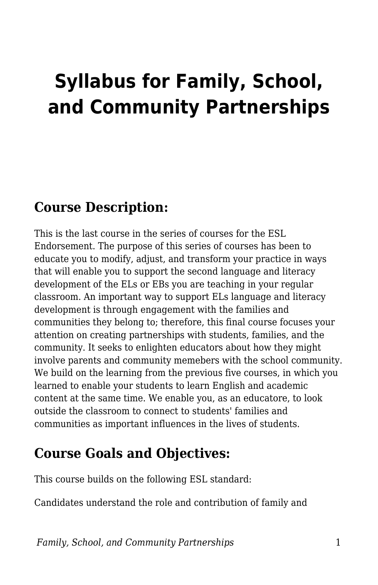# **Syllabus for Family, School, and Community Partnerships**

#### **Course Description:**

This is the last course in the series of courses for the ESL Endorsement. The purpose of this series of courses has been to educate you to modify, adjust, and transform your practice in ways that will enable you to support the second language and literacy development of the ELs or EBs you are teaching in your regular classroom. An important way to support ELs language and literacy development is through engagement with the families and communities they belong to; therefore, this final course focuses your attention on creating partnerships with students, families, and the community. It seeks to enlighten educators about how they might involve parents and community memebers with the school community. We build on the learning from the previous five courses, in which you learned to enable your students to learn English and academic content at the same time. We enable you, as an educatore, to look outside the classroom to connect to students' families and communities as important influences in the lives of students.

## **Course Goals and Objectives:**

This course builds on the following ESL standard:

Candidates understand the role and contribution of family and

*Family, School, and Community Partnerships* 1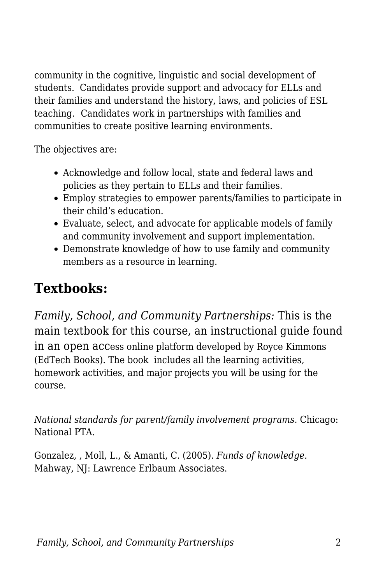community in the cognitive, linguistic and social development of students. Candidates provide support and advocacy for ELLs and their families and understand the history, laws, and policies of ESL teaching. Candidates work in partnerships with families and communities to create positive learning environments.

The objectives are:

- Acknowledge and follow local, state and federal laws and policies as they pertain to ELLs and their families.
- Employ strategies to empower parents/families to participate in their child's education.
- Evaluate, select, and advocate for applicable models of family and community involvement and support implementation.
- Demonstrate knowledge of how to use family and community members as a resource in learning.

# **Textbooks:**

*Family, School, and Community Partnerships:* This is the main textbook for this course, an instructional guide found in an open access online platform developed by Royce Kimmons (EdTech Books). The book includes all the learning activities, homework activities, and major projects you will be using for the course.

*National standards for parent/family involvement programs.* Chicago: National PTA.

Gonzalez, , Moll, L., & Amanti, C. (2005). *Funds of knowledge.* Mahway, NJ: Lawrence Erlbaum Associates.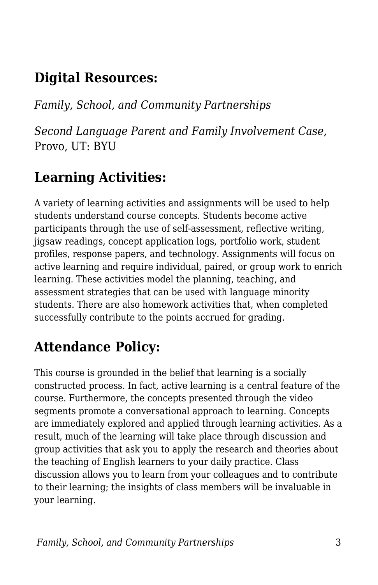## **Digital Resources:**

*Family, School, and Community Partnerships*

*Second Language Parent and Family Involvement Case,* Provo, UT: BYU

### **Learning Activities:**

A variety of learning activities and assignments will be used to help students understand course concepts. Students become active participants through the use of self-assessment, reflective writing, jigsaw readings, concept application logs, portfolio work, student profiles, response papers, and technology. Assignments will focus on active learning and require individual, paired, or group work to enrich learning. These activities model the planning, teaching, and assessment strategies that can be used with language minority students. There are also homework activities that, when completed successfully contribute to the points accrued for grading.

#### **Attendance Policy:**

This course is grounded in the belief that learning is a socially constructed process. In fact, active learning is a central feature of the course. Furthermore, the concepts presented through the video segments promote a conversational approach to learning. Concepts are immediately explored and applied through learning activities. As a result, much of the learning will take place through discussion and group activities that ask you to apply the research and theories about the teaching of English learners to your daily practice. Class discussion allows you to learn from your colleagues and to contribute to their learning; the insights of class members will be invaluable in your learning.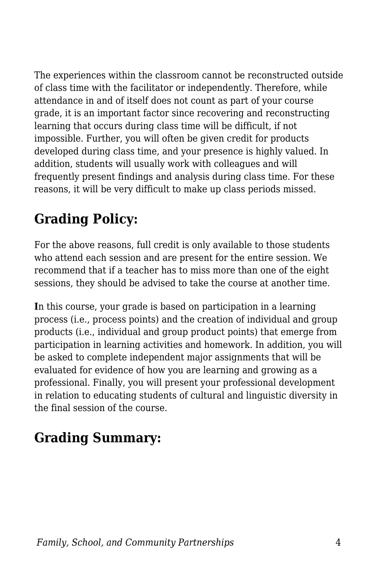The experiences within the classroom cannot be reconstructed outside of class time with the facilitator or independently. Therefore, while attendance in and of itself does not count as part of your course grade, it is an important factor since recovering and reconstructing learning that occurs during class time will be difficult, if not impossible. Further, you will often be given credit for products developed during class time, and your presence is highly valued. In addition, students will usually work with colleagues and will frequently present findings and analysis during class time. For these reasons, it will be very difficult to make up class periods missed.

# **Grading Policy:**

For the above reasons, full credit is only available to those students who attend each session and are present for the entire session. We recommend that if a teacher has to miss more than one of the eight sessions, they should be advised to take the course at another time.

**I**n this course, your grade is based on participation in a learning process (i.e., process points) and the creation of individual and group products (i.e., individual and group product points) that emerge from participation in learning activities and homework. In addition, you will be asked to complete independent major assignments that will be evaluated for evidence of how you are learning and growing as a professional. Finally, you will present your professional development in relation to educating students of cultural and linguistic diversity in the final session of the course.

## **Grading Summary:**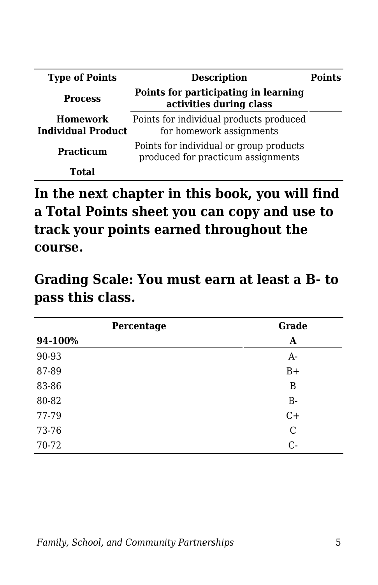| <b>Type of Points</b>                        | <b>Description</b>                                                            | <b>Points</b> |
|----------------------------------------------|-------------------------------------------------------------------------------|---------------|
| <b>Process</b>                               | Points for participating in learning<br>activities during class               |               |
| <b>Homework</b><br><b>Individual Product</b> | Points for individual products produced<br>for homework assignments           |               |
| <b>Practicum</b>                             | Points for individual or group products<br>produced for practicum assignments |               |
| Total                                        |                                                                               |               |

**In the next chapter in this book, you will find a Total Points sheet you can copy and use to track your points earned throughout the course.**

**Grading Scale: You must earn at least a B- to pass this class.**

| Percentage | Grade         |
|------------|---------------|
| 94-100%    | A             |
| 90-93      | $A-$          |
| 87-89      | $B+$          |
| 83-86      | B             |
| 80-82      | $B -$         |
| 77-79      | $C+$          |
| 73-76      | $\mathcal{C}$ |
| 70-72      | $C$ -         |